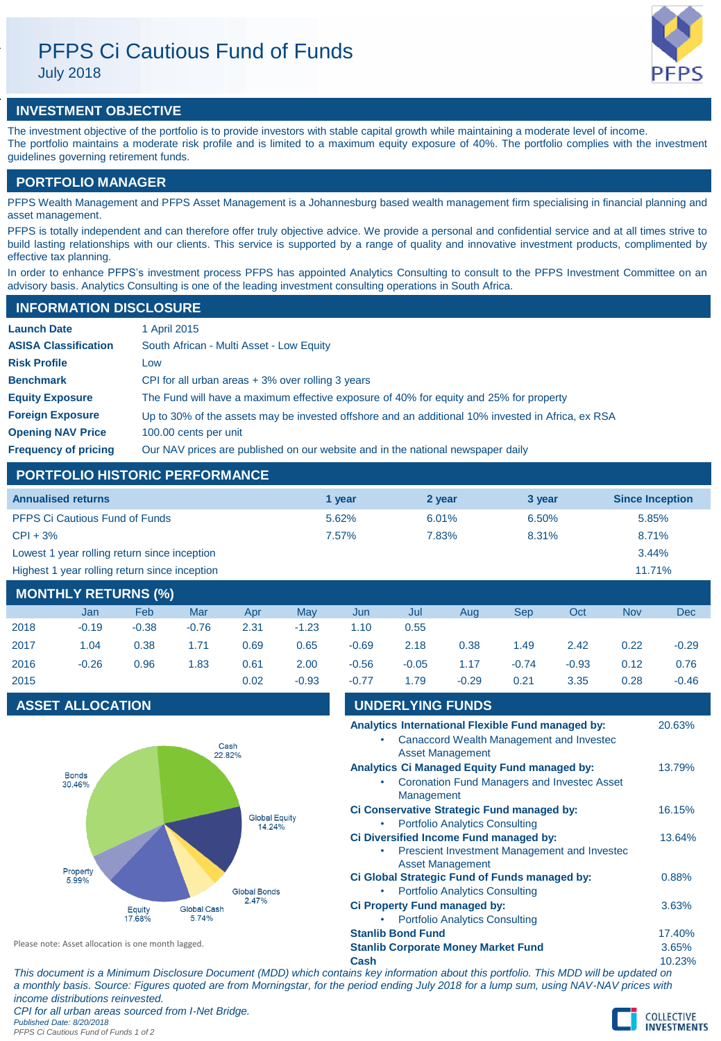# PFPS Ci Cautious Fund of Funds July 2018



# **INVESTMENT OBJECTIVE**

The investment objective of the portfolio is to provide investors with stable capital growth while maintaining a moderate level of income. The portfolio maintains a moderate risk profile and is limited to a maximum equity exposure of 40%. The portfolio complies with the investment guidelines governing retirement funds.

# **PORTFOLIO MANAGER**

PFPS Wealth Management and PFPS Asset Management is a Johannesburg based wealth management firm specialising in financial planning and asset management.

PFPS is totally independent and can therefore offer truly objective advice. We provide a personal and confidential service and at all times strive to build lasting relationships with our clients. This service is supported by a range of quality and innovative investment products, complimented by effective tax planning.

In order to enhance PFPS's investment process PFPS has appointed Analytics Consulting to consult to the PFPS Investment Committee on an advisory basis. Analytics Consulting is one of the leading investment consulting operations in South Africa.

## **INFORMATION DISCLOSURE**

| <b>Launch Date</b>          | 1 April 2015                                                                                      |
|-----------------------------|---------------------------------------------------------------------------------------------------|
| <b>ASISA Classification</b> | South African - Multi Asset - Low Equity                                                          |
| <b>Risk Profile</b>         | Low                                                                                               |
| <b>Benchmark</b>            | CPI for all urban areas $+3\%$ over rolling 3 years                                               |
| <b>Equity Exposure</b>      | The Fund will have a maximum effective exposure of 40% for equity and 25% for property            |
| <b>Foreign Exposure</b>     | Up to 30% of the assets may be invested offshore and an additional 10% invested in Africa, ex RSA |
| <b>Opening NAV Price</b>    | 100.00 cents per unit                                                                             |
| <b>Frequency of pricing</b> | Our NAV prices are published on our website and in the national newspaper daily                   |

# **PORTFOLIO HISTORIC PERFORMANCE**

| <b>Annualised returns</b>                     | 1 year | 2 year | 3 year | <b>Since Inception</b> |
|-----------------------------------------------|--------|--------|--------|------------------------|
| <b>PFPS Ci Cautious Fund of Funds</b>         | 5.62%  | 6.01%  | 6.50%  | 5.85%                  |
| $CPI + 3%$                                    | 7.57%  | 7.83%  | 8.31%  | 8.71%                  |
| Lowest 1 year rolling return since inception  |        |        |        | 3.44%                  |
| Highest 1 year rolling return since inception |        |        |        | 11.71%                 |
|                                               |        |        |        |                        |

| MONTHLY RETURNS (%) |         |         |         |      |         |         |         |         |         |         |            |         |
|---------------------|---------|---------|---------|------|---------|---------|---------|---------|---------|---------|------------|---------|
|                     | Jan     | Feb     | Mar     | Apr  | Mav     | Jun     | Jul     | Aug     | Sep     | Oct     | <b>Nov</b> | Dec     |
| 2018                | $-0.19$ | $-0.38$ | $-0.76$ | 2.31 | $-1.23$ | 1.10    | 0.55    |         |         |         |            |         |
| 2017                | 1.04    | 0.38    | 1.71    | 0.69 | 0.65    | $-0.69$ | 2.18    | 0.38    | 1.49    | 2.42    | 0.22       | $-0.29$ |
| 2016                | $-0.26$ | 0.96    | 1.83    | 0.61 | 2.00    | $-0.56$ | $-0.05$ | 1.17    | $-0.74$ | $-0.93$ | 0.12       | 0.76    |
| 2015                |         |         |         | 0.02 | $-0.93$ | $-0.77$ | 1.79    | $-0.29$ | 0.21    | 3.35    | 0.28       | $-0.46$ |

# **ASSET ALLOCATION**



| Please note: Asset allocation is one month lagged. |  |
|----------------------------------------------------|--|
|----------------------------------------------------|--|

| -0.77 | 1.79                     | $-0.29$                                                                  | 0.21 | 3.35                                               | 0.28 | $-0.46$ |
|-------|--------------------------|--------------------------------------------------------------------------|------|----------------------------------------------------|------|---------|
|       | <b>UNDERLYING FUNDS</b>  |                                                                          |      |                                                    |      |         |
|       |                          |                                                                          |      | Analytics International Flexible Fund managed by:  |      | 20.63%  |
|       |                          | <b>Asset Management</b>                                                  |      | <b>Canaccord Wealth Management and Investec</b>    |      |         |
|       |                          | Analytics Ci Managed Equity Fund managed by:                             |      |                                                    |      | 13.79%  |
|       |                          |                                                                          |      | <b>Coronation Fund Managers and Investec Asset</b> |      |         |
|       | Management               |                                                                          |      |                                                    |      |         |
|       |                          | Ci Conservative Strategic Fund managed by:                               |      |                                                    |      | 16.15%  |
|       |                          | <b>Portfolio Analytics Consulting</b>                                    |      |                                                    |      |         |
|       |                          | Ci Diversified Income Fund managed by:                                   |      |                                                    |      | 13.64%  |
|       |                          |                                                                          |      | Prescient Investment Management and Investec       |      |         |
|       |                          | <b>Asset Management</b><br>Ci Global Strategic Fund of Funds managed by: |      |                                                    |      | 0.88%   |
|       |                          | <b>Portfolio Analytics Consulting</b>                                    |      |                                                    |      |         |
|       |                          | Ci Property Fund managed by:                                             |      |                                                    |      | 3.63%   |
|       |                          | <b>Portfolio Analytics Consulting</b>                                    |      |                                                    |      |         |
|       | <b>Stanlib Bond Fund</b> |                                                                          |      |                                                    |      | 17.40%  |
|       |                          | <b>Stanlib Corporate Money Market Fund</b>                               |      |                                                    |      | 3.65%   |
| Cash  |                          |                                                                          |      |                                                    |      | 10.23%  |

*This document is a Minimum Disclosure Document (MDD) which contains key information about this portfolio. This MDD will be updated on a monthly basis. Source: Figures quoted are from Morningstar, for the period ending July 2018 for a lump sum, using NAV-NAV prices with income distributions reinvested.*

*CPI for all urban areas sourced from I-Net Bridge. Published Date: 8/20/2018*